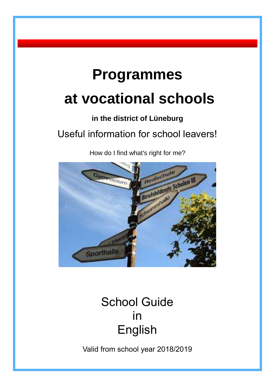# **Programmes**

# **at vocational schools**

# **in the district of Lüneburg**

# Useful information for school leavers!

How do I find what's right for me?



# School Guide in English

Valid from school year 2018/2019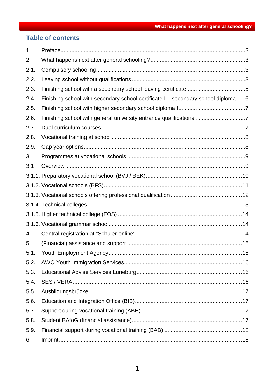## **Table of contents**

| 1.   |                                                                                  |
|------|----------------------------------------------------------------------------------|
| 2.   |                                                                                  |
| 2.1. |                                                                                  |
| 2.2. |                                                                                  |
| 2.3. |                                                                                  |
| 2.4. | Finishing school with secondary school certificate I - secondary school diploma6 |
| 2.5. |                                                                                  |
| 2.6. | Finishing school with general university entrance qualifications 7               |
| 2.7. |                                                                                  |
| 2.8. |                                                                                  |
| 2.9. |                                                                                  |
| 3.   |                                                                                  |
| 3.1  |                                                                                  |
|      |                                                                                  |
|      |                                                                                  |
|      |                                                                                  |
|      |                                                                                  |
|      |                                                                                  |
|      |                                                                                  |
| 4.   |                                                                                  |
| 5.   |                                                                                  |
| 5.1  |                                                                                  |
| 5.2. |                                                                                  |
| 5.3. |                                                                                  |
| 5.4. |                                                                                  |
| 5.5. |                                                                                  |
| 5.6. |                                                                                  |
| 5.7. |                                                                                  |
| 5.8. |                                                                                  |
| 5.9. |                                                                                  |
| 6.   |                                                                                  |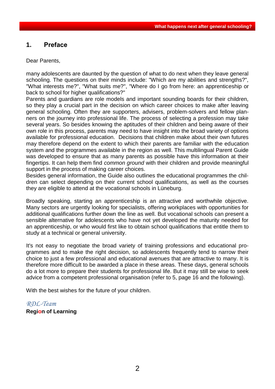#### <span id="page-2-0"></span>**1. Preface**

Dear Parents,

many adolescents are daunted by the question of what to do next when they leave general schooling. The questions on their minds include: "Which are my abilities and strengths?", "What interests me?", "What suits me?", "Where do I go from here: an apprenticeship or back to school for higher qualifications?"

Parents and guardians are role models and important sounding boards for their children, so they play a crucial part in the decision on which career choices to make after leaving general schooling. Often they are supporters, advisers, problem-solvers and fellow planners on the journey into professional life. The process of selecting a profession may take several years. So besides knowing the aptitudes of their children and being aware of their own role in this process, parents may need to have insight into the broad variety of options available for professional education. Decisions that children make about their own futures may therefore depend on the extent to which their parents are familiar with the education system and the programmes available in the region as well. This multilingual Parent Guide was developed to ensure that as many parents as possible have this information at their fingertips. It can help them find *common ground* with their children and provide meaningful support in the process of making career choices.

Besides general information, the Guide also outlines the educational programmes the children can select depending on their current school qualifications, as well as the courses they are eligible to attend at the vocational schools in Lüneburg.

Broadly speaking, starting an apprenticeship is an attractive and worthwhile objective. Many sectors are urgently looking for specialists, offering workplaces with opportunities for additional qualifications further down the line as well. But vocational schools can present a sensible alternative for adolescents who have not yet developed the maturity needed for an apprenticeship, or who would first like to obtain school qualifications that entitle them to study at a technical or general university.

It's not easy to negotiate the broad variety of training professions and educational programmes and to make the right decision, so adolescents frequently tend to narrow their choice to just a few professional and educational avenues that are attractive to many. It is therefore more difficult to be awarded a place in these areas. These days, general schools do a lot more to prepare their students for professional life. But it may still be wise to seek advice from a competent professional organisation (refer to 5, page 16 and the following).

With the best wishes for the future of your children.

## *RDL-Team*

#### **Region of Learning**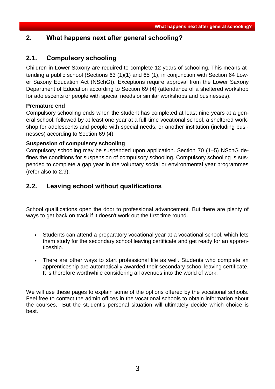## <span id="page-3-0"></span>**2. What happens next after general schooling?**

## <span id="page-3-1"></span>**2.1. Compulsory schooling**

Children in Lower Saxony are required to complete 12 years of schooling. This means attending a public school (Sections 63 (1)(1) and 65 (1), in conjunction with Section 64 Lower Saxony Education Act (NSchG)). Exceptions require approval from the Lower Saxony Department of Education according to Section 69 (4) (attendance of a sheltered workshop for adolescents or people with special needs or similar workshops and businesses).

#### **Premature end**

Compulsory schooling ends when the student has completed at least nine years at a general school, followed by at least one year at a full-time vocational school, a sheltered workshop for adolescents and people with special needs, or another institution (including businesses) according to Section 69 (4).

#### **Suspension of compulsory schooling**

Compulsory schooling may be suspended upon application. Section [70 \(1–5\) NSchG de](http://www.landesschulbehoerde-niedersachsen.de/themen/schuler/schulbesuch/schulpflicht/ruhen-der-schulpflicht)[fines the conditions for](http://www.landesschulbehoerde-niedersachsen.de/themen/schuler/schulbesuch/schulpflicht/ruhen-der-schulpflicht) suspension of compulsory schooling. Compulsory schooling is suspended to complete a gap year in the voluntary social or environmental year programmes (refer also to 2.9).

## <span id="page-3-2"></span>**2.2. Leaving school without qualifications**

School qualifications open the door to professional advancement. But there are plenty of ways to get back on track if it doesn't work out the first time round.

- Students can attend a preparatory vocational year at a vocational school, which lets them study for the secondary school leaving certificate and get ready for an apprenticeship.
- There are other ways to start professional life as well. Students who complete an apprenticeship are automatically awarded their secondary school leaving certificate. It is therefore worthwhile considering all avenues into the world of work.

We will use these pages to explain some of the options offered by the vocational schools. Feel free to contact the admin offices in the vocational schools to obtain information about the courses. But the student's personal situation will ultimately decide which choice is best.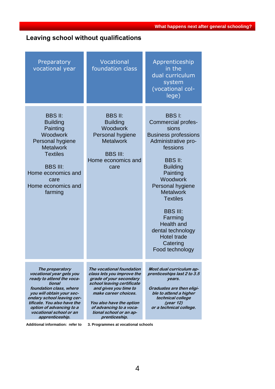**What happens next after general schooling?** 

# **Leaving school without qualifications**

| Preparatory<br>vocational year                                                                                                                                                                                                                                                    | Vocational<br>foundation class                                                                                                                                                                                                                                       | Apprenticeship<br>in the<br>dual curriculum<br>system<br>(vocational col-<br>lege)                                                                                                                                                                                                                                                                                 |
|-----------------------------------------------------------------------------------------------------------------------------------------------------------------------------------------------------------------------------------------------------------------------------------|----------------------------------------------------------------------------------------------------------------------------------------------------------------------------------------------------------------------------------------------------------------------|--------------------------------------------------------------------------------------------------------------------------------------------------------------------------------------------------------------------------------------------------------------------------------------------------------------------------------------------------------------------|
| <b>BBS II:</b><br><b>Building</b><br>Painting<br>Woodwork<br>Personal hygiene<br><b>Metalwork</b><br><b>Textiles</b><br><b>BBS III:</b><br>Home economics and<br>care<br>Home economics and<br>farming                                                                            | <b>BBS II:</b><br><b>Building</b><br>Woodwork<br>Personal hygiene<br><b>Metalwork</b><br><b>BBS III:</b><br>Home economics and<br>care                                                                                                                               | <b>BBSI:</b><br>Commercial profes-<br>sions<br><b>Business professions</b><br>Administrative pro-<br>fessions<br><b>BBS II:</b><br><b>Building</b><br>Painting<br>Woodwork<br>Personal hygiene<br><b>Metalwork</b><br><b>Textiles</b><br><b>BBS III:</b><br>Farming<br><b>Health and</b><br>dental technology<br><b>Hotel trade</b><br>Catering<br>Food technology |
| The preparatory<br>vocational year gets you<br>ready to attend the voca-<br>tional<br>foundation class, where<br>you will obtain your sec-<br>ondary school leaving cer-<br>tificate. You also have the<br>option of advancing to a<br>vocational school or an<br>apprenticeship. | The vocational foundation<br>class lets you improve the<br>grade of your secondary<br>school leaving certificate<br>and gives you time to<br>make career choices.<br>You also have the option<br>of advancing to a voca-<br>tional school or an ap-<br>prenticeship. | Most dual curriculum ap-<br>prenticeships last 2 to 3.5<br>vears.<br>Graduates are then eligi-<br>ble to attend a higher<br>technical college<br>(year 12)<br>or a technical college.                                                                                                                                                                              |

**Additional information: refer to 3. Programmes at vocational schools**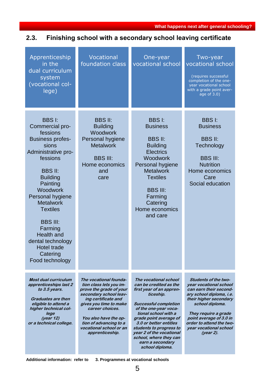# <span id="page-5-0"></span>**2.3. Finishing school with a secondary school leaving certificate**

| Apprenticeship<br>in the<br>dual curriculum<br>system<br>(vocational col-<br>lege)                                                                                                                                                                                                                                                                                      | Vocational<br>foundation class                                                                                                                                                                                                                                              | One-year<br>vocational school                                                                                                                                                                                                                                                                                                                         | Two-year<br>vocational school<br>(requires successful<br>completion of the one-<br>year vocational school<br>with a grade point aver-<br>age of 3.0)                                                                                                                              |
|-------------------------------------------------------------------------------------------------------------------------------------------------------------------------------------------------------------------------------------------------------------------------------------------------------------------------------------------------------------------------|-----------------------------------------------------------------------------------------------------------------------------------------------------------------------------------------------------------------------------------------------------------------------------|-------------------------------------------------------------------------------------------------------------------------------------------------------------------------------------------------------------------------------------------------------------------------------------------------------------------------------------------------------|-----------------------------------------------------------------------------------------------------------------------------------------------------------------------------------------------------------------------------------------------------------------------------------|
| <b>BBSI:</b><br>Commercial pro-<br>fessions<br><b>Business profes-</b><br>sions<br>Administrative pro-<br>fessions<br><b>BBS II:</b><br><b>Building</b><br>Painting<br>Woodwork<br>Personal hygiene<br><b>Metalwork</b><br><b>Textiles</b><br><b>BBS III:</b><br>Farming<br><b>Health and</b><br>dental technology<br><b>Hotel trade</b><br>Catering<br>Food technology | <b>BBS II:</b><br><b>Building</b><br><b>Woodwork</b><br>Personal hygiene<br><b>Metalwork</b><br><b>BBS III:</b><br>Home economics<br>and<br>care                                                                                                                            | <b>BBSI:</b><br><b>Business</b><br><b>BBS II:</b><br><b>Building</b><br><b>Electrics</b><br>Woodwork<br>Personal hygiene<br><b>Metalwork</b><br><b>Textiles</b><br><b>BBS III:</b><br>Farming<br>Catering<br>Home economics<br>and care                                                                                                               | <b>BBSI:</b><br><b>Business</b><br><b>BBS II:</b><br>Technology<br><b>BBS III:</b><br><b>Nutrition</b><br>Home economics<br>Care<br>Social education                                                                                                                              |
| <b>Most dual curriculum</b><br>apprenticeships last 2<br>to 3.5 years.<br><b>Graduates are then</b><br>eligible to attend a<br>higher technical col-<br>lege<br>(year 12)<br>or a technical college.                                                                                                                                                                    | The vocational founda-<br>tion class lets you im-<br>prove the grade of your<br>secondary school leav-<br>ing certificate and<br>gives you time to make<br>career choices.<br>You also have the op-<br>tion of advancing to a<br>vocational school or an<br>apprenticeship. | The vocational school<br>can be credited as the<br>first year of an appren-<br>ticeship.<br><b>Successful completion</b><br>of the one-year voca-<br>tional school with a<br>grade point average of<br>3.0 or better entitles<br>students to progress to<br>year 2 of the vocational<br>school, where they can<br>earn a secondary<br>school diploma. | <b>Students of the two-</b><br>year vocational school<br>can earn their second-<br>ary school diploma, i.e.<br>their higher secondary<br>school diploma.<br>They require a grade<br>point average of 3.0 in<br>order to attend the two-<br>year vocational school<br>$(year 2)$ . |

**Additional information: refer to 3. Programmes at vocational schools**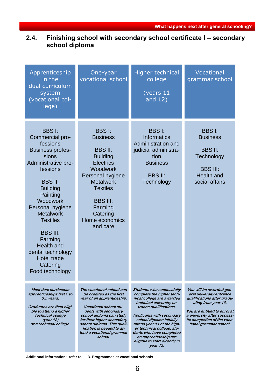## <span id="page-6-0"></span>**2.4. Finishing school with secondary school certificate I – secondary school diploma**

| Apprenticeship<br>in the<br>dual curriculum<br>system<br>(vocational col-<br>lege)                                                                                                                                                                                                                                                                                      | One-year<br>vocational school                                                                                                                                                                                                                                                                              | Higher technical<br>college<br>(years $11$<br>and 12)                                                                                                                                                                                                                                                                                                                    | Vocational<br>grammar school                                                                                                                                                                                                       |
|-------------------------------------------------------------------------------------------------------------------------------------------------------------------------------------------------------------------------------------------------------------------------------------------------------------------------------------------------------------------------|------------------------------------------------------------------------------------------------------------------------------------------------------------------------------------------------------------------------------------------------------------------------------------------------------------|--------------------------------------------------------------------------------------------------------------------------------------------------------------------------------------------------------------------------------------------------------------------------------------------------------------------------------------------------------------------------|------------------------------------------------------------------------------------------------------------------------------------------------------------------------------------------------------------------------------------|
| <b>BBSI:</b><br>Commercial pro-<br>fessions<br><b>Business profes-</b><br>sions<br>Administrative pro-<br>fessions<br><b>BBS II:</b><br><b>Building</b><br>Painting<br>Woodwork<br>Personal hygiene<br><b>Metalwork</b><br><b>Textiles</b><br><b>BBS III:</b><br>Farming<br><b>Health and</b><br>dental technology<br><b>Hotel trade</b><br>Catering<br>Food technology | <b>BBSI:</b><br><b>Business</b><br><b>BBS II:</b><br><b>Building</b><br><b>Electrics</b><br>Woodwork<br>Personal hygiene<br><b>Metalwork</b><br><b>Textiles</b><br><b>BBS III:</b><br>Farming<br>Catering<br>Home economics<br>and care                                                                    | <b>BBSI:</b><br><b>Informatics</b><br>Administration and<br>judicial administra-<br>tion<br><b>Business</b><br><b>BBS II:</b><br>Technology                                                                                                                                                                                                                              | <b>BBSI:</b><br><b>Business</b><br><b>BBS II:</b><br>Technology<br><b>BBS III:</b><br><b>Health and</b><br>social affairs                                                                                                          |
| <b>Most dual curriculum</b><br>apprenticeships last 2 to<br>3.5 years.<br>Graduates are then eligi-<br>ble to attend a higher<br>technical college<br>(year $12$ )<br>or a technical college.                                                                                                                                                                           | The vocational school can<br>be credited as the first<br>year of an apprenticeship.<br><b>Vocational school stu-</b><br>dents with secondary<br>school diploma can study<br>for their higher secondary<br>school diploma. This quali-<br>fication is needed to at-<br>tend a vocational grammar<br>school. | Students who successfully<br>complete the higher tech-<br>nical college are awarded<br>technical university en-<br>trance qualifications.<br><b>Applicants with secondary</b><br>school diploma initially<br>attend year 11 of the high-<br>er technical college; stu-<br>dents who have completed<br>an apprenticeship are<br>eligible to start directly in<br>year 12. | You will be awarded gen-<br>eral university entrance<br>qualifications after gradu-<br>ating from year 13.<br>You are entitled to enrol at<br>a university after success-<br>ful completion of the voca-<br>tional grammar school. |

**Additional information: refer to 3. Programmes at vocational schools**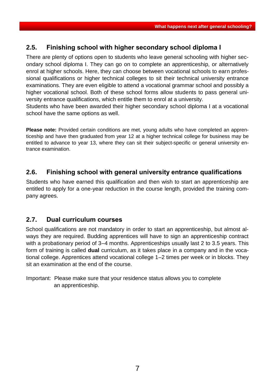## <span id="page-7-0"></span>**2.5. Finishing school with higher secondary school diploma I**

There are plenty of options open to students who leave general schooling with higher secondary school diploma I. They can go on to complete an apprenticeship, or alternatively enrol at higher schools. Here, they can choose between vocational schools to earn professional qualifications or higher technical colleges to sit their technical university entrance examinations. They are even eligible to attend a vocational grammar school and possibly a higher vocational school. Both of these school forms allow students to pass general university entrance qualifications, which entitle them to enrol at a university.

Students who have been awarded their higher secondary school diploma I at a vocational school have the same options as well.

**Please note:** Provided certain conditions are met, young adults who have completed an apprenticeship and have then graduated from year 12 at a higher technical college for business may be entitled to advance to year 13, where they can sit their subject-specific or general university entrance examination.

## <span id="page-7-1"></span>**2.6. Finishing school with general university entrance qualifications**

Students who have earned this qualification and then wish to start an apprenticeship are entitled to apply for a one-year reduction in the course length, provided the training company agrees.

#### <span id="page-7-2"></span>**2.7. Dual curriculum courses**

School qualifications are not mandatory in order to start an apprenticeship, but almost always they are required. Budding apprentices will have to sign an apprenticeship contract with a probationary period of 3–4 months. Apprenticeships usually last 2 to 3.5 years. This form of training is called **dual** curriculum, as it takes place in a company and in the vocational college. Apprentices attend vocational college 1–2 times per week or in blocks. They sit an examination at the end of the course.

Important: Please make sure that your residence status allows you to complete an apprenticeship.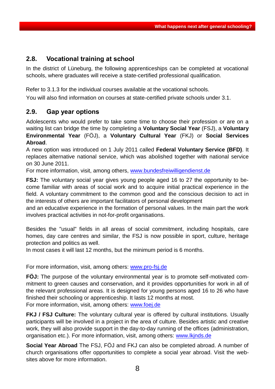## <span id="page-8-0"></span>**2.8. Vocational training at school**

In the district of Lüneburg, the following apprenticeships can be completed at vocational schools, where graduates will receive a state-certified professional qualification.

Refer to 3.1.3 for the individual courses available at the vocational schools.

You will also find information on courses at state-certified private schools under 3.1.

## <span id="page-8-1"></span>**2.9. Gap year options**

Adolescents who would prefer to take some time to choose their profession or are on a waiting list can bridge the time by completing a **Voluntary Social Year** (FSJ), a **Voluntary Environmental Year** (FÖJ), a **Voluntary Cultural Year** (FKJ) or **Social Services Abroad**.

A new option was introduced on 1 July 2011 called **Federal Voluntary Service (BFD)**. It replaces alternative national service, which was abolished together with national service on 30 June 2011.

For more information, visit, among others, www.bundesfreiwilligendienst.de

**FSJ:** The voluntary social year gives young people aged 16 to 27 the opportunity to become familiar with areas of social work and to acquire initial practical experience in the field. A voluntary commitment to the common good and the conscious decision to act in the interests of others are important facilitators of personal development

and an educative experience in the formation of personal values. In the main part the work involves practical activities in not-for-profit organisations.

Besides the "usual" fields in all areas of social commitment, including hospitals, care homes, day care centres and similar, the FSJ is now possible in sport, culture, heritage protection and politics as well.

In most cases it will last 12 months, but the minimum period is 6 months.

For more information, visit, among others: [www.pro-fsj.de](http://www.pro-fsj.de/)

**FÖJ:** The purpose of the voluntary environmental year is to promote self-motivated commitment to green causes and conservation, and it provides opportunities for work in all of the relevant professional areas. It is designed for young persons aged 16 to 26 who have finished their schooling or apprenticeship. It lasts 12 months at most. For more information, visit, among others: www.foej.de

**FKJ / FSJ Culture:** The voluntary cultural year is offered by cultural institutions. Usually participants will be involved in a project in the area of culture. Besides artistic and creative work, they will also provide support in the day-to-day running of the offices (administration, organisation etc.). For more information, visit, among others: www.lkjnds.de

**Social Year Abroad** The FSJ, FÖJ and FKJ can also be completed abroad. A number of church organisations offer opportunities to complete a social year abroad. Visit the websites above for more information.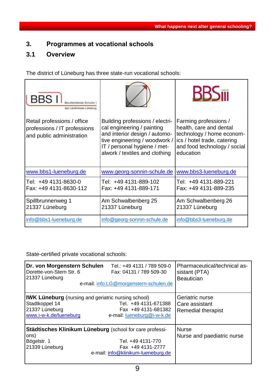## <span id="page-9-0"></span>**3. Programmes at vocational schools**

## <span id="page-9-1"></span>**3.1 Overview**

The district of Lüneburg has three state-run vocational schools:

| <b>BBS</b> I<br>des Landkreises Lüneburg                                                 |                                                                                                                                                                                                   | <b>RR2111</b>                                                                                                                                             |
|------------------------------------------------------------------------------------------|---------------------------------------------------------------------------------------------------------------------------------------------------------------------------------------------------|-----------------------------------------------------------------------------------------------------------------------------------------------------------|
| Retail professions / office<br>professions / IT professions<br>and public administration | Building professions / electri-<br>cal engineering / painting<br>and interior design / automo-<br>tive engineering / woodwork /<br>IT / personal hygiene / met-<br>alwork / textiles and clothing | Farming professions /<br>health, care and dental<br>technology / home econom-<br>ics / hotel trade, catering<br>and food technology / social<br>education |
| www.bbs1-lueneburg.de                                                                    | www.georg-sonnin-schule.de                                                                                                                                                                        | www.bbs3-lueneburg.de                                                                                                                                     |
| Tel: +49 4131-8630-0<br>Fax: +49 4131-8630-112                                           | Tel: +49 4131-889-102<br>Fax: +49 4131-889-171                                                                                                                                                    | Tel: +49 4131-889-221<br>Fax: +49 4131-889-235                                                                                                            |
| Spillbrunnenweg 1<br>21337 Lüneburg                                                      | Am Schwalbenberg 25<br>21337 Lüneburg                                                                                                                                                             | Am Schwalbenberg 26<br>21337 Lüneburg                                                                                                                     |
| info@bbs1-lueneburg.de                                                                   | info@georg-sonnin-schule.de                                                                                                                                                                       | info@bbs3-lueneburg.de                                                                                                                                    |

State-certified private vocational schools:

| Dr. von Morgenstern Schulen<br>Dorette-von-Stern Str. 6<br>21337 Lüneburg                                                               | Tel.: +49 4131 / 789 509-0<br>Fax: 04131 / 789 509-30<br>e-mail: info.LG@morgenstern-schulen.de | Pharmaceutical/technical as-<br>sistant (PTA)<br><b>Beautician</b> |
|-----------------------------------------------------------------------------------------------------------------------------------------|-------------------------------------------------------------------------------------------------|--------------------------------------------------------------------|
| <b>IWK Lüneburg</b> (nursing and geriatric nursing school)<br>Stadtkoppel 14<br>21337 Lüneburg<br>www.i-w-k.de/lueneburg                | Tel. +49 4131-671388<br>Fax +49 4131-681382<br>e-mail: lueneburg@i-w-k.de                       | Geriatric nurse<br>Care assistant<br><b>Remedial therapist</b>     |
| Städtisches Klinikum Lüneburg (school for care professi-<br>ons)<br>Bögelstr. 1<br>21339 Lüneburg<br>e-mail: info@klinikum-lueneburg.de | <b>Nurse</b><br>Nurse and paediatric nurse                                                      |                                                                    |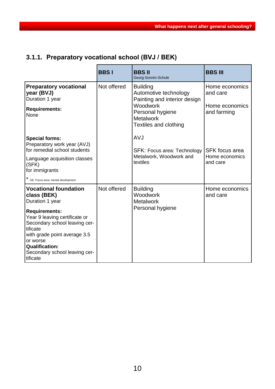# <span id="page-10-0"></span>**3.1.1. Preparatory vocational school (BVJ / BEK)**

|                                                                                                                                    | <b>BBSI</b> | <b>BBS II</b><br>Georg-Sonnin-Schule                                             | <b>BBS III</b>                |
|------------------------------------------------------------------------------------------------------------------------------------|-------------|----------------------------------------------------------------------------------|-------------------------------|
| <b>Preparatory vocational</b><br>year (BVJ)<br>Duration 1 year                                                                     | Not offered | <b>Building</b><br>Automotive technology<br>Painting and interior design         | Home economics<br>and care    |
| <b>Requirements:</b><br>None                                                                                                       |             | <b>Woodwork</b><br>Personal hygiene<br><b>Metalwork</b><br>Textiles and clothing | Home economics<br>and farming |
| <b>Special forms:</b><br>Preparatory work year (AVJ)<br>for remedial school students                                               |             | <b>AVJ</b><br>SFK: Focus area: Technology                                        | <b>SFK</b> focus area         |
| Language acquisition classes<br>(SFK)<br>for immigrants                                                                            |             | Metalwork, Woodwork and<br>textiles                                              | Home economics<br>and care    |
| * GE: Focus area: mental development                                                                                               |             |                                                                                  |                               |
| <b>Vocational foundation</b><br>class (BEK)<br>Duration 1 year                                                                     | Not offered | <b>Building</b><br>Woodwork<br><b>Metalwork</b>                                  | Home economics<br>and care    |
| <b>Requirements:</b><br>Year 9 leaving certificate or<br>Secondary school leaving cer-<br>tificate<br>with grade point average 3.5 |             | Personal hygiene                                                                 |                               |
| or worse<br><b>Qualification:</b><br>Secondary school leaving cer-<br>tificate                                                     |             |                                                                                  |                               |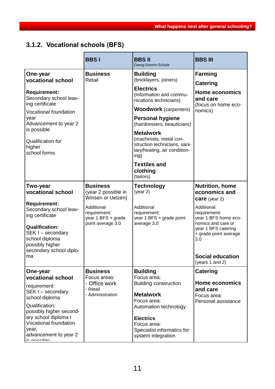# <span id="page-11-0"></span>**3.1.2. Vocational schools (BFS)**

|                                                                                                                                                                                                                                            | <b>BBSI</b>                                                                                                                          | <b>BBSII</b><br>Georg-Sonnin-Schule                                                                                                                                                                                                                                                                                                                                                 | <b>BBS III</b>                                                                                                                                                                                                                                   |
|--------------------------------------------------------------------------------------------------------------------------------------------------------------------------------------------------------------------------------------------|--------------------------------------------------------------------------------------------------------------------------------------|-------------------------------------------------------------------------------------------------------------------------------------------------------------------------------------------------------------------------------------------------------------------------------------------------------------------------------------------------------------------------------------|--------------------------------------------------------------------------------------------------------------------------------------------------------------------------------------------------------------------------------------------------|
| One-year<br>vocational school<br><b>Requirement:</b><br>Secondary school leav-<br>ing certificate<br>Vocational foundation<br>year<br>Advancement to year 2<br>is possible<br><b>Qualification for</b><br>higher<br>school forms           | <b>Business</b><br>Retail                                                                                                            | <b>Building</b><br>(bricklayers, joiners)<br><b>Electrics</b><br>(information and commu-<br>nications technicians)<br><b>Woodwork</b> (carpenters)<br><b>Personal hygiene</b><br>(hairdressers, beauticians)<br><b>Metalwork</b><br>(machinists, metal con-<br>struction technicians, sani-<br>tary/heating, air condition-<br>ing)<br><b>Textiles and</b><br>clothing<br>(tailors) | <b>Farming</b><br><b>Catering</b><br><b>Home economics</b><br>and care<br>(focus on home eco-<br>nomics)                                                                                                                                         |
| <b>Two-year</b><br>vocational school<br><b>Requirement:</b><br>Secondary school leav-<br>ing certificate<br><b>Qualification:</b><br>SEK I - secondary<br>school diploma<br>possibly higher<br>secondary school diplo-<br>ma               | <b>Business</b><br>(year 2 possible in<br>Winsen or Uelzen)<br>Additional<br>requirement:<br>year 1 BFS + grade<br>point average 3.0 | <b>Technology</b><br>(year 2)<br>Additional<br>requirement:<br>year 1 BFS + grade point<br>average 3.0                                                                                                                                                                                                                                                                              | <b>Nutrition, home</b><br>economics and<br><b>care</b> (year 2)<br>Additional<br>requirement:<br>year 1 BFS home eco-<br>nomics and care or<br>year 1 BFS catering<br>+ grade point average<br>3.0<br><b>Social education</b><br>(years 1 and 2) |
| One-year<br>vocational school<br>requirement:<br>SEK I - secondary<br>school diploma<br>Qualification:<br>possibly higher second-<br>ary school diploma I<br><b>Vocational foundation</b><br>year,<br>advancement to year 2<br>in nonnihlo | <b>Business</b><br>Focus areas:<br>- Office work<br>- Retail<br>- Administration                                                     | <b>Building</b><br>Focus area:<br><b>Building construction</b><br><b>Metalwork</b><br>Focus area:<br>Automation technology<br><b>Electrics</b><br>Focus area:<br>Specialist informatics for<br>system integration                                                                                                                                                                   | <b>Catering</b><br><b>Home economics</b><br>and care<br>Focus area:<br>Personal assistance                                                                                                                                                       |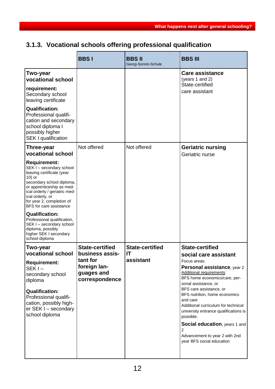# <span id="page-12-0"></span>**3.1.3. Vocational schools offering professional qualification**

|                                                                                                                                                                                                                                                                                                                                                                                                                    | <b>BBSI</b>                                              | <b>BBSII</b><br>Georg-Sonnin-Schule | <b>BBS III</b>                                                                                                                                                                                                                                                                                                                                                                                                                      |
|--------------------------------------------------------------------------------------------------------------------------------------------------------------------------------------------------------------------------------------------------------------------------------------------------------------------------------------------------------------------------------------------------------------------|----------------------------------------------------------|-------------------------------------|-------------------------------------------------------------------------------------------------------------------------------------------------------------------------------------------------------------------------------------------------------------------------------------------------------------------------------------------------------------------------------------------------------------------------------------|
| Two-year<br>vocational school<br>requirement:<br>Secondary school<br>leaving certificate<br><b>Qualification:</b><br>Professional qualifi-                                                                                                                                                                                                                                                                         |                                                          |                                     | Care assistance<br>(years 1 and 2)<br>State-certified<br>care assistant                                                                                                                                                                                                                                                                                                                                                             |
| cation and secondary<br>school diploma I<br>possibly higher<br><b>SEK I qualification</b>                                                                                                                                                                                                                                                                                                                          |                                                          |                                     |                                                                                                                                                                                                                                                                                                                                                                                                                                     |
| Three-year<br>vocational school                                                                                                                                                                                                                                                                                                                                                                                    | Not offered                                              | Not offered                         | <b>Geriatric nursing</b><br>Geriatric nurse                                                                                                                                                                                                                                                                                                                                                                                         |
| <b>Requirement:</b><br>SEK I - secondary school<br>leaving certificate (year<br>10) or<br>secondary school diploma,<br>or apprenticeship as med-<br>ical orderly / geriatric med-<br>ical orderly, or<br>for year 2, completion of<br>BFS for care assistance<br><b>Qualification:</b><br>Professional qualification,<br>SEK I - secondary school<br>diploma, possibly<br>higher SEK I secondary<br>school diploma |                                                          |                                     |                                                                                                                                                                                                                                                                                                                                                                                                                                     |
| Two-year<br>vocational school                                                                                                                                                                                                                                                                                                                                                                                      | <b>State-certified</b><br>business assis-                | <b>State-certified</b><br>IT        | <b>State-certified</b>                                                                                                                                                                                                                                                                                                                                                                                                              |
| <b>Requirement:</b><br>$SEKI -$<br>secondary school<br>diploma<br><b>Qualification:</b><br>Professional qualifi-<br>cation, possibly high-<br>er SEK I - secondary<br>school diploma                                                                                                                                                                                                                               | tant for<br>foreign lan-<br>guages and<br>correspondence | assistant                           | social care assistant<br>Focus areas:<br>Personal assistance, year 2<br>Additional requirements:<br>BFS home economics/care, per-<br>sonal assistance, or<br>BFS care assistance, or<br>BFS nutrition, home economics<br>and care<br>Additional curriculum for technical<br>university entrance qualifications is<br>possible.<br>Social education, years 1 and<br>2<br>Advancement to year 2 with 2nd<br>year BFS social education |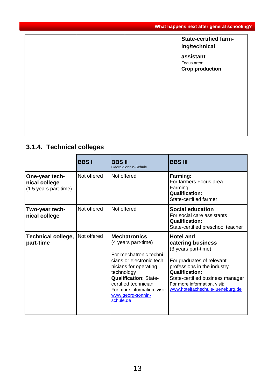|  | <b>State-certified farm-</b><br>ing/technical      |
|--|----------------------------------------------------|
|  | assistant<br>Focus area:<br><b>Crop production</b> |
|  |                                                    |
|  |                                                    |
|  |                                                    |

# <span id="page-13-0"></span>**3.1.4. Technical colleges**

|                                                          | <b>BBSI</b> | <b>BBS II</b><br>Georg-Sonnin-Schule                                                                                                                                                                                                                                | <b>BBS III</b>                                                                                                                                                                                                                                            |
|----------------------------------------------------------|-------------|---------------------------------------------------------------------------------------------------------------------------------------------------------------------------------------------------------------------------------------------------------------------|-----------------------------------------------------------------------------------------------------------------------------------------------------------------------------------------------------------------------------------------------------------|
| One-year tech-<br>nical college<br>(1.5 years part-time) | Not offered | Not offered                                                                                                                                                                                                                                                         | Farming:<br>For farmers Focus area<br>Farming<br><b>Qualification:</b><br>State-certified farmer                                                                                                                                                          |
| Two-year tech-<br>nical college                          | Not offered | Not offered                                                                                                                                                                                                                                                         | <b>Social education</b><br>For social care assistants<br><b>Qualification:</b><br>State-certified preschool teacher                                                                                                                                       |
| <b>Technical college,</b><br>part-time                   | Not offered | <b>Mechatronics</b><br>(4 years part-time)<br>For mechatronic techni-<br>cians or electronic tech-<br>nicians for operating<br>technology<br><b>Qualification: State-</b><br>certified technician<br>For more information, visit:<br>www.georg-sonnin-<br>schule.de | <b>Hotel and</b><br>catering business<br>(3 years part-time)<br>For graduates of relevant<br>professions in the industry<br><b>Qualification:</b><br>State-certified business manager<br>For more information, visit:<br>www.hotelfachschule-lueneburg.de |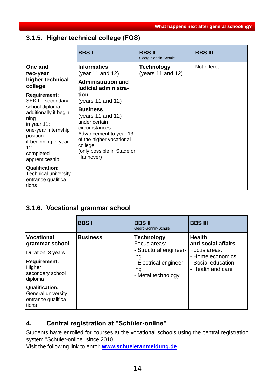#### **What happens next after general schooling?**

## <span id="page-14-0"></span>**3.1.5. Higher technical college (FOS)**

|                                                                                                                                                                                                                  | <b>BBSI</b>                                                                                                                                                                                                      | <b>BBSII</b><br>Georg-Sonnin-Schule    | <b>BBS III</b> |
|------------------------------------------------------------------------------------------------------------------------------------------------------------------------------------------------------------------|------------------------------------------------------------------------------------------------------------------------------------------------------------------------------------------------------------------|----------------------------------------|----------------|
| One and<br>two-year<br>higher technical<br>college                                                                                                                                                               | <b>Informatics</b><br>(year 11 and 12)<br><b>Administration and</b><br>judicial administra-                                                                                                                      | <b>Technology</b><br>(years 11 and 12) | Not offered    |
| <b>Requirement:</b><br>SEK I - secondary<br>school diploma,<br>additionally if begin-<br>ning<br>in year $11$ :<br>one-year internship<br>position<br>if beginning in year<br>12:<br>completed<br>apprenticeship | tion<br>(years 11 and 12)<br><b>Business</b><br>(years 11 and 12)<br>under certain<br>circumstances:<br>Advancement to year 13<br>of the higher vocational<br>college<br>(only possible in Stade or<br>Hannover) |                                        |                |
| <b>Qualification:</b><br><b>Technical university</b><br>entrance qualifica-<br>tions                                                                                                                             |                                                                                                                                                                                                                  |                                        |                |

## <span id="page-14-1"></span>**3.1.6. Vocational grammar school**

|                                                                                                                            | <b>BBSI</b>     | <b>BBS II</b><br>Georg-Sonnin-Schule                                                                                      | <b>BBS III</b>                                                                                                     |
|----------------------------------------------------------------------------------------------------------------------------|-----------------|---------------------------------------------------------------------------------------------------------------------------|--------------------------------------------------------------------------------------------------------------------|
| <b>Vocational</b><br>grammar school<br>Duration: 3 years<br><b>Requirement:</b><br>Higher<br>secondary school<br>diploma I | <b>Business</b> | <b>Technology</b><br>Focus areas:<br>- Structural engineer-<br>ing<br>- Electrical engineer-<br>ing<br>- Metal technology | <b>Health</b><br>and social affairs<br>Focus areas:<br>- Home economics<br>- Social education<br>- Health and care |
| <b>Qualification:</b><br>General university<br>entrance qualifica-<br>tions                                                |                 |                                                                                                                           |                                                                                                                    |

## <span id="page-14-2"></span>**4. Central registration at "Schüler-online"**

Students have enrolled for courses at the vocational schools using the central registration system "Schüler-online" since 2010.

Visit the following link to enrol: **[www.schueleranmeldung.de](http://www.schueleranmeldung.de/)**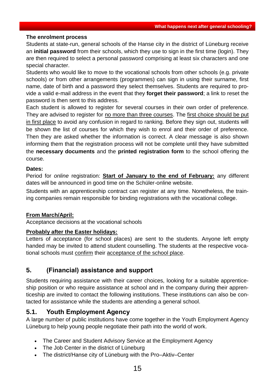#### **The enrolment process**

Students at state-run, general schools of the Hanse city in the district of Lüneburg receive an **initial password** from their schools, which they use to sign in the first time (login). They are then required to select a personal password comprising at least six characters and one special character.

Students who would like to move to the vocational schools from other schools (e.g. private schools) or from other arrangements (programmes) can sign in using their surname, first name, date of birth and a password they select themselves. Students are required to provide a valid e-mail address in the event that they **forget their password**; a link to reset the password is then sent to this address.

Each student is allowed to register for several courses in their own order of preference. They are advised to register for no more than three courses. The first choice should be put in first place to avoid any confusion in regard to ranking. Before they sign out, students will be shown the list of courses for which they wish to enrol and their order of preference. Then they are asked whether the information is correct. A clear message is also shown informing them that the registration process will not be complete until they have submitted the **necessary documents** and the **printed registration form** to the school offering the course.

#### **Dates:**

Period for *online* registration: **Start of January to the end of February:** any different dates will be announced in good time on the Schüler-online website.

Students with an apprenticeship contract can register at any time. Nonetheless, the training companies remain responsible for binding registrations with the vocational college.

#### **From March/April:**

Acceptance decisions at the vocational schools

#### **Probably after the Easter holidays:**

Letters of acceptance (for school places) are sent to the students. Anyone left empty handed may be invited to attend student counselling. The students at the respective vocational schools must confirm their acceptance of the school place.

#### <span id="page-15-0"></span>**5. (Financial) assistance and support**

Students requiring assistance with their career choices, looking for a suitable apprenticeship position or who require assistance at school and in the company during their apprenticeship are invited to contact the following institutions. These institutions can also be contacted for assistance while the students are attending a general school.

#### <span id="page-15-1"></span>**5.1. Youth Employment Agency**

A large number of public institutions have come together in the Youth Employment Agency Lüneburg to help young people negotiate their path into the world of work.

- The Career and Student Advisory Service at the Employment Agency
- The Job Center in the district of Lüneburg
- The district/Hanse city of Lüneburg with the Pro–Aktiv–Center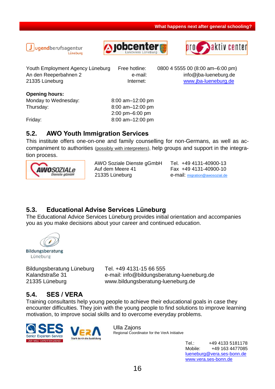





Youth Employment Agency Lüneburg Free hotline: 0800 4 5555 00 (8:00 am–6:00 pm) An den Reeperbahnen 2 e-mail: info@jba-lueneburg.de 21335 Lüneburg **Internet:** Www.jba-lueneburg.de

**Opening hours:**

Thursday: 8:00 am–12:00 pm

Monday to Wednesday: 8:00 am–12:00 pm 2:00 pm–6:00 pm Friday: 8:00 am–12:00 pm

## <span id="page-16-0"></span>**5.2. AWO Youth Immigration Services**

This institute offers one-on-one and family counselling for non-Germans, as well as accompaniment to authorities (possibly with interpreters), help groups and support in the integration process.



 AWO Soziale Dienste gGmbH Tel. +49 4131-40900-13 Auf dem Meere 41 Fax +49 4131-40900-10 21335 Lüneburg e-mail: [migration@awosozial.de](mailto:migration@awosozial.de)

## <span id="page-16-1"></span>**5.3. Educational Advise Services Lüneburg**

The Educational Advice Services Lüneburg provides initial orientation and accompanies you as you make decisions about your career and continued education.

Bildungsberatung Lüneburg

Bildungsberatung Lüneburg Tel. +49 4131-15 66 555

Kalandstraße 31 e-mail: info@bildungsberatung-lueneburg.de 21335 Lüneburg www.bildungsberatung-lueneburg.de

## <span id="page-16-2"></span>**5.4. SES / VERA**

Training consultants help young people to achieve their educational goals in case they encounter difficulties. They join with the young people to find solutions to improve learning motivation, to improve social skills and to overcome everyday problems.



Ulla Zajons Regional Coordinator for the VerA Initiative

> Tel.: +49 4133 5181178 Mobile: +49 163 4477085 [lueneburg@vera.ses-bonn.de](mailto:lueneburg@vera.ses-bonn.de) [www.vera.ses-bonn.de](http://www.vera.ses-bonn.de/)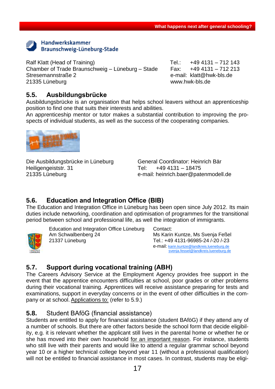

Ralf Klatt (Head of Training) Tel.: +49 4131 – 712 143 Chamber of Trade Braunschweig – Lüneburg – Stade Fax: +49 4131 – 712 213 Stresemannstraße 2 e-mail: klatt@hwk-bls.de 21335 Lüneburg www.hwk-bls.de

## <span id="page-17-0"></span>**5.5. Ausbildungsbrücke**

Ausbildungsbrücke is an organisation that helps school leavers without an apprenticeship position to find one that suits their interests and abilities.

An apprenticeship mentor or tutor makes a substantial contribution to improving the prospects of individual students, as well as the success of the cooperating companies.



Die Ausbildungsbrücke in Lüneburg General Coordinator: Heinrich Bär Heiligengeiststr. 31 Tel: +49 4131 – 18475

21335 Lüneburg e-mail: heinrich.baer@patenmodell.de

## <span id="page-17-1"></span>**5.6. Education and Integration Office (BIB)**

The Education and Integration Office in Lüneburg has been open since July 2012. Its main duties include networking, coordination and optimisation of programmes for the transitional period between school and professional life, as well the integration of immigrants.



Education and Integration Office Lüneburg Am Schwalbenberg 24 21337 Lüneburg

Contact: Ms Karin Kuntze, Ms Svenja Feßel Tel.: +49 4131-96985-24 /-20 /-23 e-mail: [karin.kuntze@landkreis.lueneburg.de](mailto:karin.kuntze@landkreis.lueneburg.de)  svenja.fessel@landkreis.lueneburg.de

## <span id="page-17-2"></span>**5.7. Support during vocational training (ABH)**

The Careers Advisory Service at the Employment Agency provides free support in the event that the apprentice encounters difficulties at school, poor grades or other problems during their vocational training. Apprentices will receive assistance preparing for tests and examinations, support in everyday concerns or in the event of other difficulties in the company or at school. Applications to: (refer to 5.9.)

#### <span id="page-17-3"></span>**5.8.** Student BAföG (financial assistance)

Students are entitled to apply for financial assistance (student BAföG) if they attend any of a number of schools. But there are other factors beside the school form that decide eligibility, e.g. it is relevant whether the applicant still lives in the parental home or whether he or she has moved into their own household for an important reason. For instance, students who still live with their parents and would like to attend a regular grammar school beyond year 10 or a higher technical college beyond year 11 (without a professional qualification) will not be entitled to financial assistance in most cases. In contrast, students may be eligi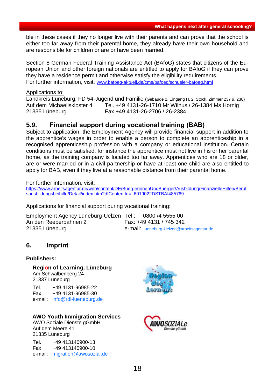ble in these cases if they no longer live with their parents and can prove that the school is either too far away from their parental home, they already have their own household and are responsible for children or are or have been married.

Section 8 German Federal Training Assistance Act (BAföG) states that citizens of the European Union and other foreign nationals are entitled to apply for BAföG if they can prove they have a residence permit and otherwise satisfy the eligibility requirements. For further information, visit: www.bafoeg-aktuell.de/cms/bafoeg/schueler-bafoeg.html

Applications to:

Landkreis Lüneburg, FD 54-Jugend und Familie (Gebäude 2, Eingang H, 2. Stock, Zimmer 237 u. 238) Auf dem Michaeliskloster 4 Tel. +49 4131-26-1710 Mr Wilhus / 26-1384 Ms Hornig 21335 Lüneburg Fax +49 4131-26-2706 / 26-2384

#### <span id="page-18-0"></span>**5.9. Financial support during vocational training (BAB)**

Subject to application, the Employment Agency will provide financial support in addition to the apprentice's wages in order to enable a person to complete an apprenticeship in a recognised apprenticeship profession with a company or educational institution. Certain conditions must be satisfied, for instance the apprentice must not live in his or her parental home, as the training company is located too far away. Apprentices who are 18 or older, are or were married or in a civil partnership or have at least one child are also entitled to apply for BAB, even if they live at a reasonable distance from their parental home.

For further information, visit:

[https://www.arbeitsagentur.de/web/content/DE/BuergerinnenUndBuerger/Ausbildung/FinanzielleHilfen/Beruf](https://www.arbeitsagentur.de/web/content/DE/BuergerinnenUndBuerger/Ausbildung/FinanzielleHilfen/Berufsausbildungsbeihilfe/Detail/index.htm?dfContentId=L6019022DSTBAI485769) [sausbildungsbeihilfe/Detail/index.htm?dfContentId=L6019022DSTBAI485769](https://www.arbeitsagentur.de/web/content/DE/BuergerinnenUndBuerger/Ausbildung/FinanzielleHilfen/Berufsausbildungsbeihilfe/Detail/index.htm?dfContentId=L6019022DSTBAI485769)

#### Applications for financial support during vocational training:

| Employment Agency Lüneburg-Uelzen Tel.: 0800 /4 5555 00 |                                            |
|---------------------------------------------------------|--------------------------------------------|
| An den Reeperbahnen 2                                   | Fax: +49 4131 / 745 342                    |
| 21335 Lüneburg                                          | e-mail: Lueneburg-Uelzen@arbeitsagentur.de |

#### <span id="page-18-1"></span>**6. Imprint**

#### **Publishers:**

**Region of Learning, Lüneburg** Am Schwalbenberg 24 21337 Lüneburg

Tel. +49 4131-96985-22 Fax +49 4131-96985-30 e-mail: [info@rdl-lueneburg.de](mailto:rydzyk@rdl-lueneburg.de)

#### **AWO Youth Immigration Services**

AWO Soziale Dienste gGmbH Auf dem Meere 41 21335 Lüneburg

Tel. +49 413140900-13 Fax +49 413140900-10 e-mail: [migration@awosozial.de](mailto:migration@awosozial.de)